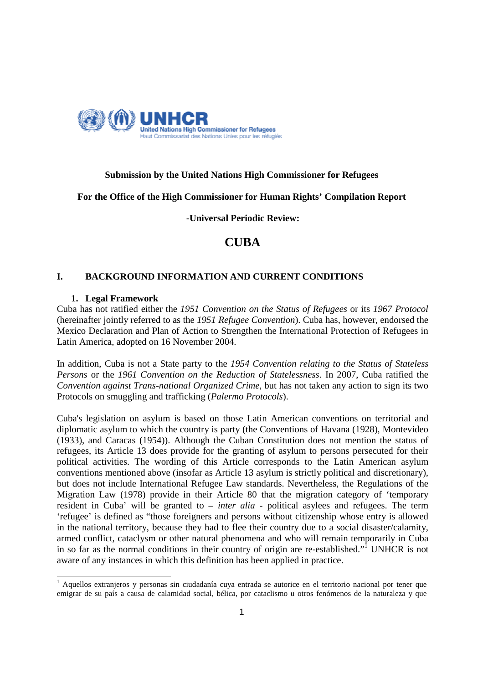

# **Submission by the United Nations High Commissioner for Refugees**

# **For the Office of the High Commissioner for Human Rights' Compilation Report**

 **-Universal Periodic Review:** 

# **CUBA**

# **I. BACKGROUND INFORMATION AND CURRENT CONDITIONS**

# **1. Legal Framework**

Cuba has not ratified either the *1951 Convention on the Status of Refugees* or its *1967 Protocol* (hereinafter jointly referred to as the *1951 Refugee Convention*). Cuba has, however, endorsed the Mexico Declaration and Plan of Action to Strengthen the International Protection of Refugees in Latin America, adopted on 16 November 2004.

In addition, Cuba is not a State party to the *1954 Convention relating to the Status of Stateless Persons* or the *1961 Convention on the Reduction of Statelessness*. In 2007, Cuba ratified the *Convention against Trans-national Organized Crime*, but has not taken any action to sign its two Protocols on smuggling and trafficking (*Palermo Protocols*).

Cuba's legislation on asylum is based on those Latin American conventions on territorial and diplomatic asylum to which the country is party (the Conventions of Havana (1928), Montevideo (1933), and Caracas (1954)). Although the Cuban Constitution does not mention the status of refugees, its Article 13 does provide for the granting of asylum to persons persecuted for their political activities. The wording of this Article corresponds to the Latin American asylum conventions mentioned above (insofar as Article 13 asylum is strictly political and discretionary), but does not include International Refugee Law standards. Nevertheless, the Regulations of the Migration Law (1978) provide in their Article 80 that the migration category of 'temporary resident in Cuba' will be granted to *– inter alia -* political asylees and refugees. The term 'refugee' is defined as "those foreigners and persons without citizenship whose entry is allowed in the national territory, because they had to flee their country due to a social disaster/calamity, armed conflict, cataclysm or other natural phenomena and who will remain temporarily in Cuba in so far as the normal conditions in their country of origin are re-established."<sup>I</sup> UNHCR is not aware of any instances in which this definition has been applied in practice.

 1 Aquellos extranjeros y personas sin ciudadanía cuya entrada se autorice en el territorio nacional por tener que emigrar de su país a causa de calamidad social, bélica, por cataclismo u otros fenómenos de la naturaleza y que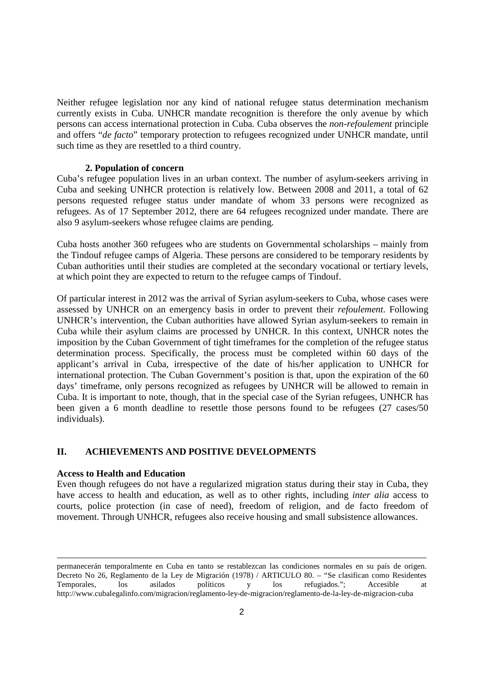Neither refugee legislation nor any kind of national refugee status determination mechanism currently exists in Cuba. UNHCR mandate recognition is therefore the only avenue by which persons can access international protection in Cuba. Cuba observes the *non-refoulement* principle and offers "*de facto*" temporary protection to refugees recognized under UNHCR mandate, until such time as they are resettled to a third country.

### **2. Population of concern**

Cuba's refugee population lives in an urban context. The number of asylum-seekers arriving in Cuba and seeking UNHCR protection is relatively low. Between 2008 and 2011, a total of 62 persons requested refugee status under mandate of whom 33 persons were recognized as refugees. As of 17 September 2012, there are 64 refugees recognized under mandate. There are also 9 asylum-seekers whose refugee claims are pending.

Cuba hosts another 360 refugees who are students on Governmental scholarships – mainly from the Tindouf refugee camps of Algeria. These persons are considered to be temporary residents by Cuban authorities until their studies are completed at the secondary vocational or tertiary levels, at which point they are expected to return to the refugee camps of Tindouf.

Of particular interest in 2012 was the arrival of Syrian asylum-seekers to Cuba, whose cases were assessed by UNHCR on an emergency basis in order to prevent their *refoulement*. Following UNHCR's intervention, the Cuban authorities have allowed Syrian asylum-seekers to remain in Cuba while their asylum claims are processed by UNHCR. In this context, UNHCR notes the imposition by the Cuban Government of tight timeframes for the completion of the refugee status determination process. Specifically, the process must be completed within 60 days of the applicant's arrival in Cuba, irrespective of the date of his/her application to UNHCR for international protection. The Cuban Government's position is that, upon the expiration of the 60 days' timeframe, only persons recognized as refugees by UNHCR will be allowed to remain in Cuba. It is important to note, though, that in the special case of the Syrian refugees, UNHCR has been given a 6 month deadline to resettle those persons found to be refugees (27 cases/50 individuals).

# **II. ACHIEVEMENTS AND POSITIVE DEVELOPMENTS**

# **Access to Health and Education**

1

Even though refugees do not have a regularized migration status during their stay in Cuba, they have access to health and education, as well as to other rights, including *inter alia* access to courts, police protection (in case of need), freedom of religion, and de facto freedom of movement. Through UNHCR, refugees also receive housing and small subsistence allowances.

permanecerán temporalmente en Cuba en tanto se restablezcan las condiciones normales en su país de origen. Decreto No 26, Reglamento de la Ley de Migración (1978) / ARTICULO 80. – "Se clasifican como Residentes<br>Temporales, los asilados políticos y los refugiados."; Accesible at Temporales, los asilados políticos y los refugiados."; Accesible at http://www.cubalegalinfo.com/migracion/reglamento-ley-de-migracion/reglamento-de-la-ley-de-migracion-cuba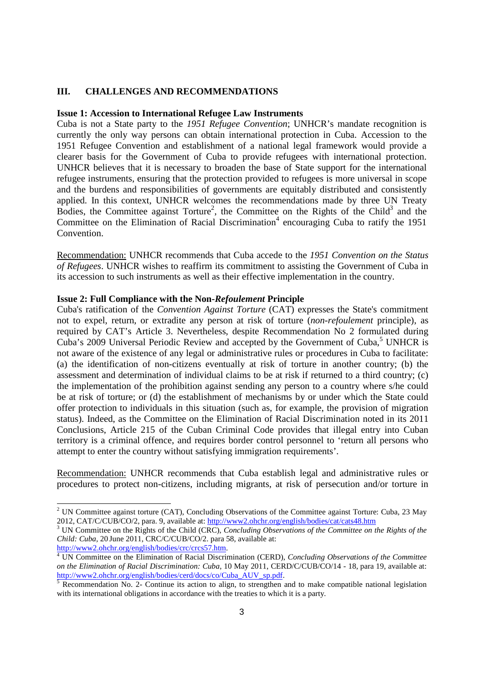### **III. CHALLENGES AND RECOMMENDATIONS**

#### **Issue 1: Accession to International Refugee Law Instruments**

Cuba is not a State party to the *1951 Refugee Convention*; UNHCR's mandate recognition is currently the only way persons can obtain international protection in Cuba. Accession to the 1951 Refugee Convention and establishment of a national legal framework would provide a clearer basis for the Government of Cuba to provide refugees with international protection. UNHCR believes that it is necessary to broaden the base of State support for the international refugee instruments, ensuring that the protection provided to refugees is more universal in scope and the burdens and responsibilities of governments are equitably distributed and consistently applied. In this context, UNHCR welcomes the recommendations made by three UN Treaty Bodies, the Committee against Torture<sup>2</sup>, the Committee on the Rights of the Child<sup>3</sup> and the Committee on the Elimination of Racial Discrimination 4 encouraging Cuba to ratify the 1951 Convention.

Recommendation: UNHCR recommends that Cuba accede to the *1951 Convention on the Status of Refugees*. UNHCR wishes to reaffirm its commitment to assisting the Government of Cuba in its accession to such instruments as well as their effective implementation in the country.

#### **Issue 2: Full Compliance with the Non-***Refoulement* **Principle**

Cuba's ratification of the *Convention Against Torture* (CAT) expresses the State's commitment not to expel, return, or extradite any person at risk of torture (*non-refoulement* principle), as required by CAT's Article 3. Nevertheless, despite Recommendation No 2 formulated during Cuba's 2009 Universal Periodic Review and accepted by the Government of Cuba,<sup>5</sup> UNHCR is not aware of the existence of any legal or administrative rules or procedures in Cuba to facilitate: (a) the identification of non-citizens eventually at risk of torture in another country; (b) the assessment and determination of individual claims to be at risk if returned to a third country; (c) the implementation of the prohibition against sending any person to a country where s/he could be at risk of torture; or (d) the establishment of mechanisms by or under which the State could offer protection to individuals in this situation (such as, for example, the provision of migration status). Indeed, as the Committee on the Elimination of Racial Discrimination noted in its 2011 Conclusions, Article 215 of the Cuban Criminal Code provides that illegal entry into Cuban territory is a criminal offence, and requires border control personnel to 'return all persons who attempt to enter the country without satisfying immigration requirements'.

Recommendation: UNHCR recommends that Cuba establish legal and administrative rules or procedures to protect non-citizens, including migrants, at risk of persecution and/or torture in

<sup>&</sup>lt;sup>2</sup> UN Committee against torture (CAT), Concluding Observations of the Committee against Torture: Cuba, 23 May 2012, CAT/C/CUB/CO/2, para. 9, available at: http://www2.ohchr.org/english/bodies/cat/cats48.htm

<sup>&</sup>lt;sup>3</sup> UN Committee on the Rights of the Child (CRC), *Concluding Observations of the Committee on the Rights of the Child: Cuba,* 20 June 2011, CRC/C/CUB/CO/2. para 58, available at:

http://www2.ohchr.org/english/bodies/crc/crcs57.htm. 4 UN Committee on the Elimination of Racial Discrimination (CERD), *Concluding Observations of the Committee on the Elimination of Racial Discrimination: Cuba*, 10 May 2011, CERD/C/CUB/CO/14 - 18, para 19, available at:

http://www2.ohchr.org/english/bodies/cerd/docs/co/Cuba\_AUV\_sp.pdf.<br>
S Becommondation No. 2. Continue its estien to elign to strengthen a Recommendation No. 2- Continue its action to align, to strengthen and to make compatible national legislation with its international obligations in accordance with the treaties to which it is a party.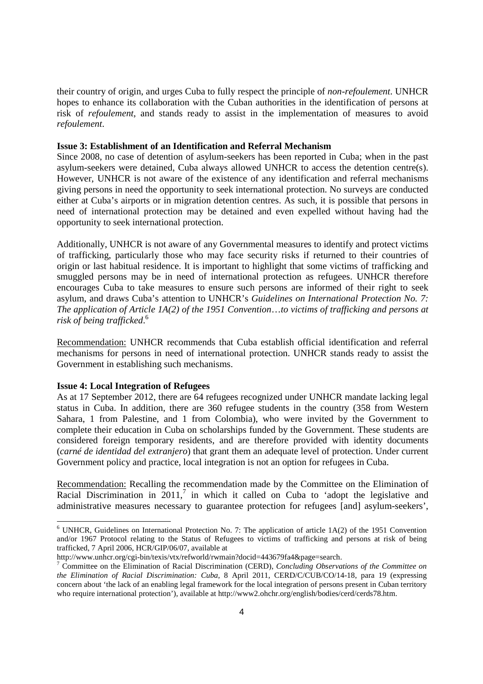their country of origin, and urges Cuba to fully respect the principle of *non-refoulement*. UNHCR hopes to enhance its collaboration with the Cuban authorities in the identification of persons at risk of *refoulement*, and stands ready to assist in the implementation of measures to avoid *refoulement*.

#### **Issue 3: Establishment of an Identification and Referral Mechanism**

Since 2008, no case of detention of asylum-seekers has been reported in Cuba; when in the past asylum-seekers were detained, Cuba always allowed UNHCR to access the detention centre(s). However, UNHCR is not aware of the existence of any identification and referral mechanisms giving persons in need the opportunity to seek international protection. No surveys are conducted either at Cuba's airports or in migration detention centres. As such, it is possible that persons in need of international protection may be detained and even expelled without having had the opportunity to seek international protection.

Additionally, UNHCR is not aware of any Governmental measures to identify and protect victims of trafficking, particularly those who may face security risks if returned to their countries of origin or last habitual residence. It is important to highlight that some victims of trafficking and smuggled persons may be in need of international protection as refugees. UNHCR therefore encourages Cuba to take measures to ensure such persons are informed of their right to seek asylum, and draws Cuba's attention to UNHCR's *Guidelines on International Protection No. 7: The application of Article 1A(2) of the 1951 Convention*…*to victims of trafficking and persons at risk of being trafficked*. 6

Recommendation: UNHCR recommends that Cuba establish official identification and referral mechanisms for persons in need of international protection. UNHCR stands ready to assist the Government in establishing such mechanisms.

### **Issue 4: Local Integration of Refugees**

As at 17 September 2012, there are 64 refugees recognized under UNHCR mandate lacking legal status in Cuba. In addition, there are 360 refugee students in the country (358 from Western Sahara, 1 from Palestine, and 1 from Colombia), who were invited by the Government to complete their education in Cuba on scholarships funded by the Government. These students are considered foreign temporary residents, and are therefore provided with identity documents (*carné de identidad del extranjero*) that grant them an adequate level of protection. Under current Government policy and practice, local integration is not an option for refugees in Cuba.

Recommendation: Recalling the recommendation made by the Committee on the Elimination of Racial Discrimination in  $2011$ ,<sup>7</sup> in which it called on Cuba to 'adopt the legislative and administrative measures necessary to guarantee protection for refugees [and] asylum-seekers',

<sup>&</sup>lt;sup>6</sup> UNHCR, Guidelines on International Protection No. 7: The application of article 1A(2) of the 1951 Convention and/or 1967 Protocol relating to the Status of Refugees to victims of trafficking and persons at risk of being trafficked, 7 April 2006, HCR/GIP/06/07, available at

http://www.unhcr.org/cgi-bin/texis/vtx/refworld/rwmain?docid=443679fa4&page=search.

<sup>7</sup> Committee on the Elimination of Racial Discrimination (CERD), *Concluding Observations of the Committee on the Elimination of Racial Discrimination: Cuba*, 8 April 2011, CERD/C/CUB/CO/14-18, para 19 (expressing concern about 'the lack of an enabling legal framework for the local integration of persons present in Cuban territory who require international protection'), available at http://www2.ohchr.org/english/bodies/cerd/cerds78.htm.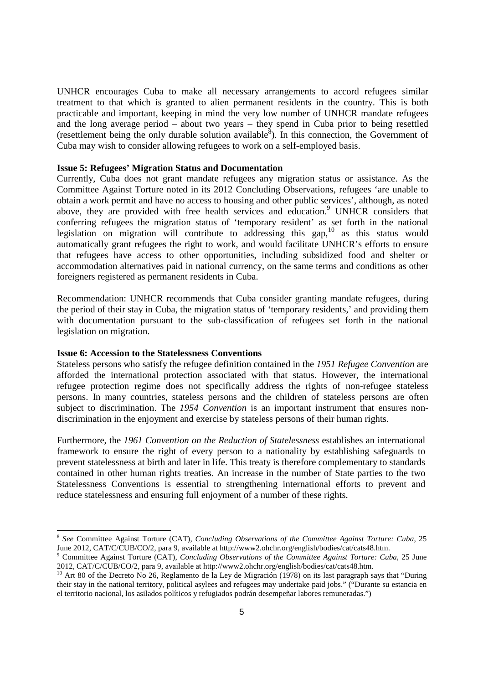UNHCR encourages Cuba to make all necessary arrangements to accord refugees similar treatment to that which is granted to alien permanent residents in the country. This is both practicable and important, keeping in mind the very low number of UNHCR mandate refugees and the long average period – about two years – they spend in Cuba prior to being resettled (resettlement being the only durable solution available $\delta$ ). In this connection, the Government of Cuba may wish to consider allowing refugees to work on a self-employed basis.

#### **Issue 5: Refugees' Migration Status and Documentation**

Currently, Cuba does not grant mandate refugees any migration status or assistance. As the Committee Against Torture noted in its 2012 Concluding Observations, refugees 'are unable to obtain a work permit and have no access to housing and other public services', although, as noted above, they are provided with free health services and education.<sup>9</sup> UNHCR considers that conferring refugees the migration status of 'temporary resident' as set forth in the national legislation on migration will contribute to addressing this gap,<sup>10</sup> as this status would automatically grant refugees the right to work, and would facilitate UNHCR's efforts to ensure that refugees have access to other opportunities, including subsidized food and shelter or accommodation alternatives paid in national currency, on the same terms and conditions as other foreigners registered as permanent residents in Cuba.

Recommendation: UNHCR recommends that Cuba consider granting mandate refugees, during the period of their stay in Cuba, the migration status of 'temporary residents,' and providing them with documentation pursuant to the sub-classification of refugees set forth in the national legislation on migration.

#### **Issue 6: Accession to the Statelessness Conventions**

-

Stateless persons who satisfy the refugee definition contained in the *1951 Refugee Convention* are afforded the international protection associated with that status. However, the international refugee protection regime does not specifically address the rights of non-refugee stateless persons. In many countries, stateless persons and the children of stateless persons are often subject to discrimination. The *1954 Convention* is an important instrument that ensures nondiscrimination in the enjoyment and exercise by stateless persons of their human rights.

Furthermore, the *1961 Convention on the Reduction of Statelessness* establishes an international framework to ensure the right of every person to a nationality by establishing safeguards to prevent statelessness at birth and later in life. This treaty is therefore complementary to standards contained in other human rights treaties. An increase in the number of State parties to the two Statelessness Conventions is essential to strengthening international efforts to prevent and reduce statelessness and ensuring full enjoyment of a number of these rights.

<sup>8</sup> *See* Committee Against Torture (CAT), *Concluding Observations of the Committee Against Torture: Cuba*, 25 June 2012, CAT/C/CUB/CO/2, para 9, available at http://www2.ohchr.org/english/bodies/cat/cats48.htm.

<sup>9</sup> Committee Against Torture (CAT), *Concluding Observations of the Committee Against Torture: Cuba*, 25 June 2012, CAT/C/CUB/CO/2, para 9, available at http://www2.ohchr.org/english/bodies/cat/cats48.htm.

<sup>10</sup> Art 80 of the Decreto No 26, Reglamento de la Ley de Migración (1978) on its last paragraph says that "During their stay in the national territory, political asylees and refugees may undertake paid jobs." ("Durante su estancia en el territorio nacional, los asilados políticos y refugiados podrán desempeñar labores remuneradas.")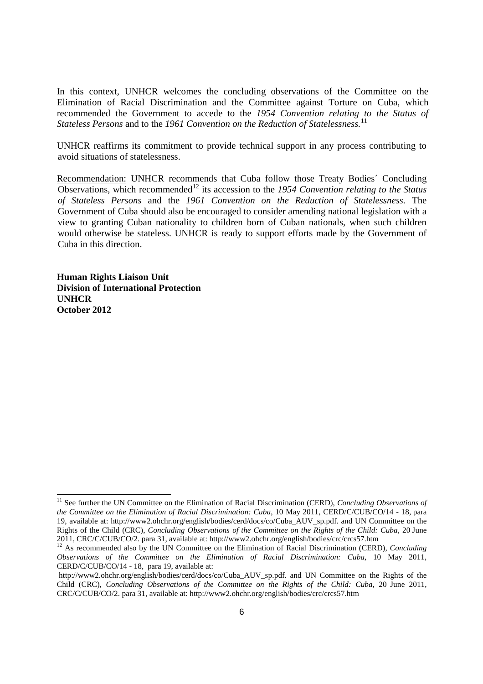In this context, UNHCR welcomes the concluding observations of the Committee on the Elimination of Racial Discrimination and the Committee against Torture on Cuba, which recommended the Government to accede to the *1954 Convention relating to the Status of Stateless Persons* and to the *1961 Convention on the Reduction of Statelessness.*<sup>11</sup>

UNHCR reaffirms its commitment to provide technical support in any process contributing to avoid situations of statelessness.

Recommendation: UNHCR recommends that Cuba follow those Treaty Bodies´ Concluding Observations, which recommended<sup>12</sup> its accession to the *1954 Convention relating to the Status of Stateless Persons* and the *1961 Convention on the Reduction of Statelessness.* The Government of Cuba should also be encouraged to consider amending national legislation with a view to granting Cuban nationality to children born of Cuban nationals, when such children would otherwise be stateless. UNHCR is ready to support efforts made by the Government of Cuba in this direction.

**Human Rights Liaison Unit Division of International Protection UNHCR October 2012** 

1

<sup>&</sup>lt;sup>11</sup> See further the UN Committee on the Elimination of Racial Discrimination (CERD), *Concluding Observations of the Committee on the Elimination of Racial Discrimination: Cuba*, 10 May 2011, CERD/C/CUB/CO/14 - 18, para 19, available at: http://www2.ohchr.org/english/bodies/cerd/docs/co/Cuba\_AUV\_sp.pdf. and UN Committee on the Rights of the Child (CRC), *Concluding Observations of the Committee on the Rights of the Child: Cuba,* 20 June 2011, CRC/C/CUB/CO/2. para 31, available at: http://www2.ohchr.org/english/bodies/crc/crcs57.htm

<sup>&</sup>lt;sup>12</sup> As recommended also by the UN Committee on the Elimination of Racial Discrimination (CERD), *Concluding Observations of the Committee on the Elimination of Racial Discrimination: Cuba*, 10 May 2011, CERD/C/CUB/CO/14 - 18, para 19, available at:

http://www2.ohchr.org/english/bodies/cerd/docs/co/Cuba\_AUV\_sp.pdf. and UN Committee on the Rights of the Child (CRC), *Concluding Observations of the Committee on the Rights of the Child: Cuba,* 20 June 2011, CRC/C/CUB/CO/2. para 31, available at: http://www2.ohchr.org/english/bodies/crc/crcs57.htm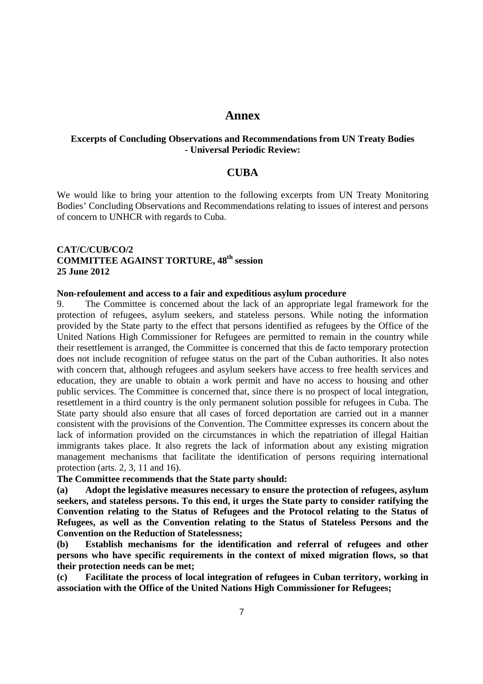# **Annex**

# **Excerpts of Concluding Observations and Recommendations from UN Treaty Bodies - Universal Periodic Review:**

# **CUBA**

We would like to bring your attention to the following excerpts from UN Treaty Monitoring Bodies' Concluding Observations and Recommendations relating to issues of interest and persons of concern to UNHCR with regards to Cuba.

# **CAT/C/CUB/CO/2 COMMITTEE AGAINST TORTURE, 48th session 25 June 2012**

#### **Non-refoulement and access to a fair and expeditious asylum procedure**

9. The Committee is concerned about the lack of an appropriate legal framework for the protection of refugees, asylum seekers, and stateless persons. While noting the information provided by the State party to the effect that persons identified as refugees by the Office of the United Nations High Commissioner for Refugees are permitted to remain in the country while their resettlement is arranged, the Committee is concerned that this de facto temporary protection does not include recognition of refugee status on the part of the Cuban authorities. It also notes with concern that, although refugees and asylum seekers have access to free health services and education, they are unable to obtain a work permit and have no access to housing and other public services. The Committee is concerned that, since there is no prospect of local integration, resettlement in a third country is the only permanent solution possible for refugees in Cuba. The State party should also ensure that all cases of forced deportation are carried out in a manner consistent with the provisions of the Convention. The Committee expresses its concern about the lack of information provided on the circumstances in which the repatriation of illegal Haitian immigrants takes place. It also regrets the lack of information about any existing migration management mechanisms that facilitate the identification of persons requiring international protection (arts. 2, 3, 11 and 16).

### **The Committee recommends that the State party should:**

**(a) Adopt the legislative measures necessary to ensure the protection of refugees, asylum seekers, and stateless persons. To this end, it urges the State party to consider ratifying the Convention relating to the Status of Refugees and the Protocol relating to the Status of Refugees, as well as the Convention relating to the Status of Stateless Persons and the Convention on the Reduction of Statelessness;** 

**(b) Establish mechanisms for the identification and referral of refugees and other persons who have specific requirements in the context of mixed migration flows, so that their protection needs can be met;** 

**(c) Facilitate the process of local integration of refugees in Cuban territory, working in association with the Office of the United Nations High Commissioner for Refugees;**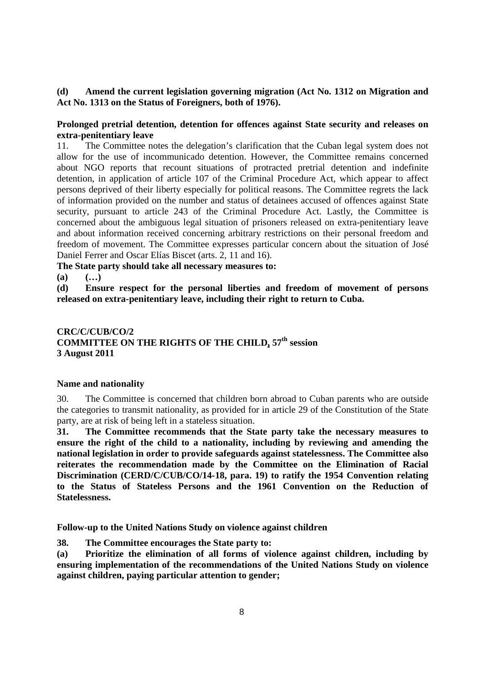### **(d) Amend the current legislation governing migration (Act No. 1312 on Migration and Act No. 1313 on the Status of Foreigners, both of 1976).**

# **Prolonged pretrial detention, detention for offences against State security and releases on extra-penitentiary leave**

11. The Committee notes the delegation's clarification that the Cuban legal system does not allow for the use of incommunicado detention. However, the Committee remains concerned about NGO reports that recount situations of protracted pretrial detention and indefinite detention, in application of article 107 of the Criminal Procedure Act, which appear to affect persons deprived of their liberty especially for political reasons. The Committee regrets the lack of information provided on the number and status of detainees accused of offences against State security, pursuant to article 243 of the Criminal Procedure Act. Lastly, the Committee is concerned about the ambiguous legal situation of prisoners released on extra-penitentiary leave and about information received concerning arbitrary restrictions on their personal freedom and freedom of movement. The Committee expresses particular concern about the situation of José Daniel Ferrer and Oscar Elías Biscet (arts. 2, 11 and 16).

**The State party should take all necessary measures to:** 

**(a) (…)** 

**(d) Ensure respect for the personal liberties and freedom of movement of persons released on extra-penitentiary leave, including their right to return to Cuba.** 

# **CRC/C/CUB/CO/2 COMMITTEE ON THE RIGHTS OF THE CHILD, 57th session 3 August 2011**

### **Name and nationality**

30. The Committee is concerned that children born abroad to Cuban parents who are outside the categories to transmit nationality, as provided for in article 29 of the Constitution of the State party, are at risk of being left in a stateless situation.

**31. The Committee recommends that the State party take the necessary measures to ensure the right of the child to a nationality, including by reviewing and amending the national legislation in order to provide safeguards against statelessness. The Committee also reiterates the recommendation made by the Committee on the Elimination of Racial Discrimination (CERD/C/CUB/CO/14-18, para. 19) to ratify the 1954 Convention relating to the Status of Stateless Persons and the 1961 Convention on the Reduction of Statelessness.** 

**Follow-up to the United Nations Study on violence against children** 

**38. The Committee encourages the State party to:** 

**(a) Prioritize the elimination of all forms of violence against children, including by ensuring implementation of the recommendations of the United Nations Study on violence against children, paying particular attention to gender;**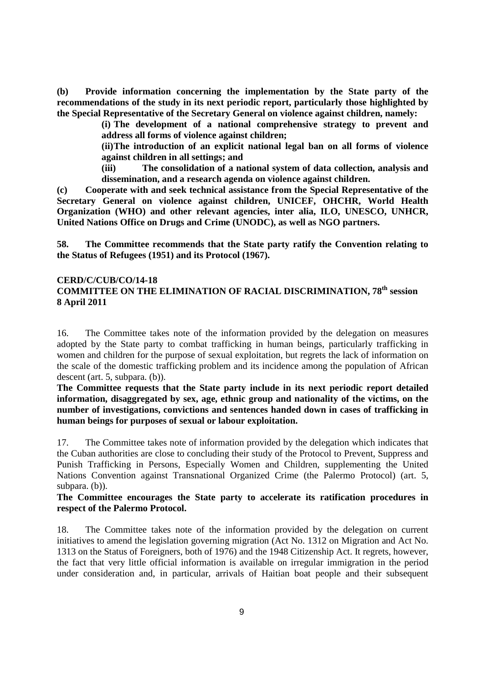**(b) Provide information concerning the implementation by the State party of the recommendations of the study in its next periodic report, particularly those highlighted by the Special Representative of the Secretary General on violence against children, namely:** 

**(i) The development of a national comprehensive strategy to prevent and address all forms of violence against children;** 

**(ii) The introduction of an explicit national legal ban on all forms of violence against children in all settings; and** 

**(iii) The consolidation of a national system of data collection, analysis and dissemination, and a research agenda on violence against children.** 

**(c) Cooperate with and seek technical assistance from the Special Representative of the Secretary General on violence against children, UNICEF, OHCHR, World Health Organization (WHO) and other relevant agencies, inter alia, ILO, UNESCO, UNHCR, United Nations Office on Drugs and Crime (UNODC), as well as NGO partners.** 

**58. The Committee recommends that the State party ratify the Convention relating to the Status of Refugees (1951) and its Protocol (1967).** 

# **CERD/C/CUB/CO/14-18 COMMITTEE ON THE ELIMINATION OF RACIAL DISCRIMINATION, 78th session 8 April 2011**

16. The Committee takes note of the information provided by the delegation on measures adopted by the State party to combat trafficking in human beings, particularly trafficking in women and children for the purpose of sexual exploitation, but regrets the lack of information on the scale of the domestic trafficking problem and its incidence among the population of African descent (art. 5, subpara. (b)).

**The Committee requests that the State party include in its next periodic report detailed information, disaggregated by sex, age, ethnic group and nationality of the victims, on the number of investigations, convictions and sentences handed down in cases of trafficking in human beings for purposes of sexual or labour exploitation.** 

17. The Committee takes note of information provided by the delegation which indicates that the Cuban authorities are close to concluding their study of the Protocol to Prevent, Suppress and Punish Trafficking in Persons, Especially Women and Children, supplementing the United Nations Convention against Transnational Organized Crime (the Palermo Protocol) (art. 5, subpara. (b)).

# **The Committee encourages the State party to accelerate its ratification procedures in respect of the Palermo Protocol.**

18. The Committee takes note of the information provided by the delegation on current initiatives to amend the legislation governing migration (Act No. 1312 on Migration and Act No. 1313 on the Status of Foreigners, both of 1976) and the 1948 Citizenship Act. It regrets, however, the fact that very little official information is available on irregular immigration in the period under consideration and, in particular, arrivals of Haitian boat people and their subsequent